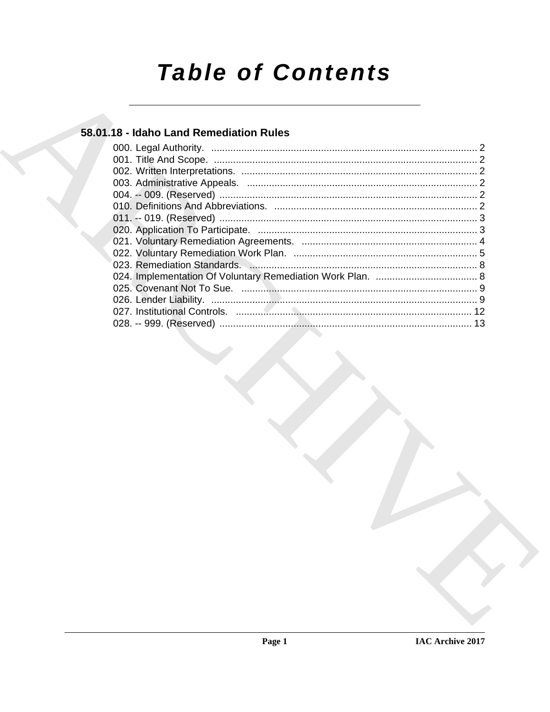# **Table of Contents**

# 58.01.18 - Idaho Land Remediation Rules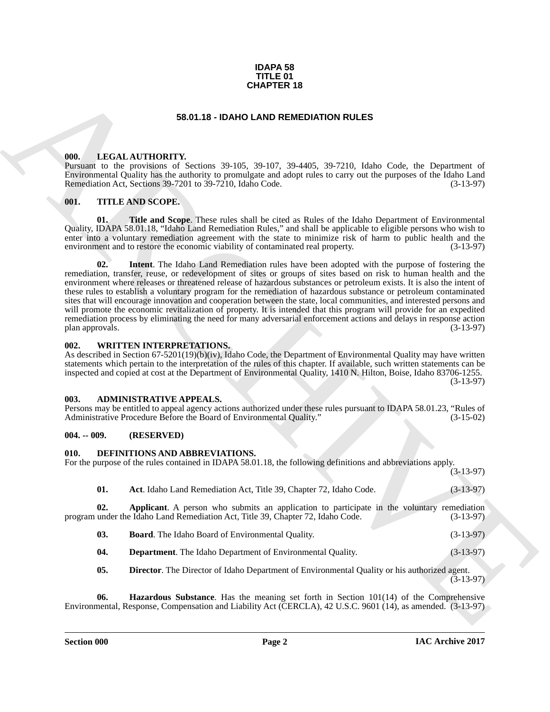#### **IDAPA 58 TITLE 01 CHAPTER 18**

#### **58.01.18 - IDAHO LAND REMEDIATION RULES**

#### <span id="page-1-1"></span><span id="page-1-0"></span>**000. LEGAL AUTHORITY.**

Pursuant to the provisions of Sections 39-105, 39-107, 39-4405, 39-7210, Idaho Code, the Department of Environmental Quality has the authority to promulgate and adopt rules to carry out the purposes of the Idaho Land Remediation Act, Sections 39-7201 to 39-7210, Idaho Code.

#### <span id="page-1-2"></span>**001. TITLE AND SCOPE.**

**01. Title and Scope**. These rules shall be cited as Rules of the Idaho Department of Environmental Quality, IDAPA 58.01.18, "Idaho Land Remediation Rules," and shall be applicable to eligible persons who wish to enter into a voluntary remediation agreement with the state to minimize risk of harm to public health and the environment and to restore the economic viability of contaminated real property. (3-13-97) environment and to restore the economic viability of contaminated real property.

**CHAPTER 18**<br> **CHARCHARTENT 18**<br> **CHARCHARTENT 18**<br> **CHARCHARTENT IS a substitute of the Columb 18 (201) (201) (201) (201) (201) (201) (201) (201) (201) (201) (201) (201) (201) (201) (201) (201) (201) (201) (201) (201) (2 02. Intent**. The Idaho Land Remediation rules have been adopted with the purpose of fostering the remediation, transfer, reuse, or redevelopment of sites or groups of sites based on risk to human health and the environment where releases or threatened release of hazardous substances or petroleum exists. It is also the intent of these rules to establish a voluntary program for the remediation of hazardous substance or petroleum contaminated sites that will encourage innovation and cooperation between the state, local communities, and interested persons and will promote the economic revitalization of property. It is intended that this program will provide for an expedited remediation process by eliminating the need for many adversarial enforcement actions and delays in response action plan approvals. (3-13-97)

#### <span id="page-1-3"></span>**002. WRITTEN INTERPRETATIONS.**

As described in Section 67-5201(19)(b)(iv), Idaho Code, the Department of Environmental Quality may have written statements which pertain to the interpretation of the rules of this chapter. If available, such written statements can be inspected and copied at cost at the Department of Environmental Quality, 1410 N. Hilton, Boise, Idaho 83706-1255. (3-13-97)

#### <span id="page-1-4"></span>**003. ADMINISTRATIVE APPEALS.**

Persons may be entitled to appeal agency actions authorized under these rules pursuant to IDAPA 58.01.23, "Rules of Administrative Procedure Before the Board of Environmental Quality." (3-15-02)

#### <span id="page-1-5"></span>**004. -- 009. (RESERVED)**

#### <span id="page-1-6"></span>**010. DEFINITIONS AND ABBREVIATIONS.**

For the purpose of the rules contained in IDAPA 58.01.18, the following definitions and abbreviations apply.

<span id="page-1-8"></span><span id="page-1-7"></span>

| -01. | Act. Idaho Land Remediation Act, Title 39, Chapter 72, Idaho Code. | $(3-13-97)$ |
|------|--------------------------------------------------------------------|-------------|
|      |                                                                    |             |

**02. Applicant**. A person who submits an application to participate in the voluntary remediation under the Idaho Land Remediation Act, Title 39, Chapter 72, Idaho Code. (3-13-97) program under the Idaho Land Remediation Act, Title 39, Chapter 72, Idaho Code.

<span id="page-1-9"></span>

| 03. | <b>Board.</b> The Idaho Board of Environmental Quality. | $(3-13-97)$ |
|-----|---------------------------------------------------------|-------------|
|-----|---------------------------------------------------------|-------------|

<span id="page-1-10"></span>**04. Department**. The Idaho Department of Environmental Quality. (3-13-97)

<span id="page-1-12"></span><span id="page-1-11"></span>**05. Director**. The Director of Idaho Department of Environmental Quality or his authorized agent. (3-13-97)

**06. Hazardous Substance**. Has the meaning set forth in Section 101(14) of the Comprehensive Environmental, Response, Compensation and Liability Act (CERCLA), 42 U.S.C. 9601 (14), as amended. (3-13-97)

(3-13-97)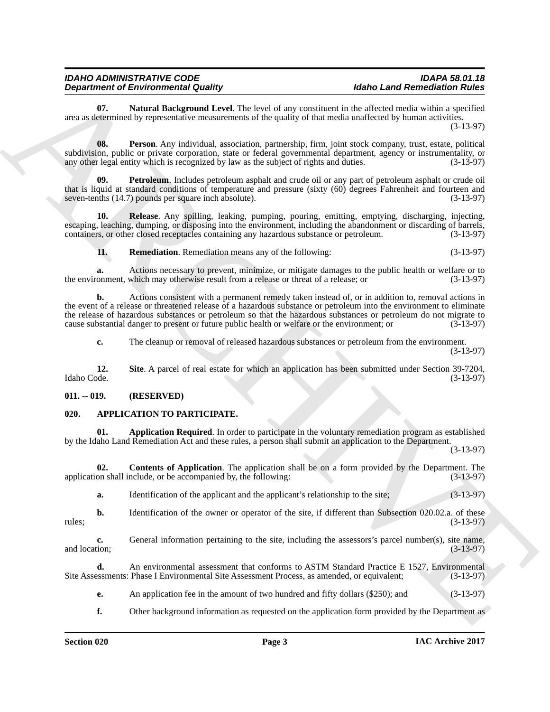<span id="page-2-4"></span>Natural Background Level. The level of any constituent in the affected media within a specified area as determined by representative measurements of the quality of that media unaffected by human activities.

(3-13-97)

<span id="page-2-5"></span>**08. Person**. Any individual, association, partnership, firm, joint stock company, trust, estate, political subdivision, public or private corporation, state or federal governmental department, agency or instrumentality, or<br>(3-13-97) any other legal entity which is recognized by law as the subject of rights and duties. any other legal entity which is recognized by law as the subject of rights and duties.

<span id="page-2-6"></span>**09. Petroleum**. Includes petroleum asphalt and crude oil or any part of petroleum asphalt or crude oil that is liquid at standard conditions of temperature and pressure (sixty (60) degrees Fahrenheit and fourteen and seven-tenths (14.7) pounds per square inch absolute). (3-13-97)

**10. Release**. Any spilling, leaking, pumping, pouring, emitting, emptying, discharging, injecting, escaping, leaching, dumping, or disposing into the environment, including the abandonment or discarding of barrels, containers, or other closed receptacles containing any hazardous substance or petroleum. (3-13-97)

<span id="page-2-8"></span><span id="page-2-7"></span>**11. Remediation**. Remediation means any of the following: (3-13-97)

**a.** Actions necessary to prevent, minimize, or mitigate damages to the public health or welfare or to onment, which may otherwise result from a release or threat of a release; or  $(3-13-97)$ the environment, which may otherwise result from a release or threat of a release; or

**Department of Environmental Country.** The local state of the state and Removemental contains a single contained by the properties of the state of the state of the state of the state of the state of the state of the state **b.** Actions consistent with a permanent remedy taken instead of, or in addition to, removal actions in the event of a release or threatened release of a hazardous substance or petroleum into the environment to eliminate the release of hazardous substances or petroleum so that the hazardous substances or petroleum do not migrate to cause substantial danger to present or future public health or welfare or the environment; or (3-13-97)

<span id="page-2-9"></span>**c.** The cleanup or removal of released hazardous substances or petroleum from the environment. (3-13-97)

**12.** Site A parcel of real estate for which an application has been submitted under Section 39-7204, Idaho Code. (3-13-97) Idaho Code. (3-13-97)

#### <span id="page-2-0"></span>**011. -- 019. (RESERVED)**

#### <span id="page-2-1"></span>**020. APPLICATION TO PARTICIPATE.**

<span id="page-2-2"></span>Application Required. In order to participate in the voluntary remediation program as established by the Idaho Land Remediation Act and these rules, a person shall submit an application to the Department.

(3-13-97)

**02. Contents of Application**. The application shall be on a form provided by the Department. The on shall include, or be accompanied by, the following: (3-13-97) application shall include, or be accompanied by, the following:

<span id="page-2-3"></span>**a.** Identification of the applicant and the applicant's relationship to the site; (3-13-97)

**b.** Identification of the owner or operator of the site, if different than Subsection 020.02.a. of these (3-13-97)  $r = (3-13-97)$ 

**c.** General information pertaining to the site, including the assessors's parcel number(s), site name, and location; (3-13-97) and location;  $(3-13-97)$ 

**d.** An environmental assessment that conforms to ASTM Standard Practice E 1527, Environmental Site Assessment Process, as amended, or equivalent; (3-13-97) Site Assessments: Phase I Environmental Site Assessment Process, as amended, or equivalent;

**e.** An application fee in the amount of two hundred and fifty dollars (\$250); and (3-13-97)

**f.** Other background information as requested on the application form provided by the Department as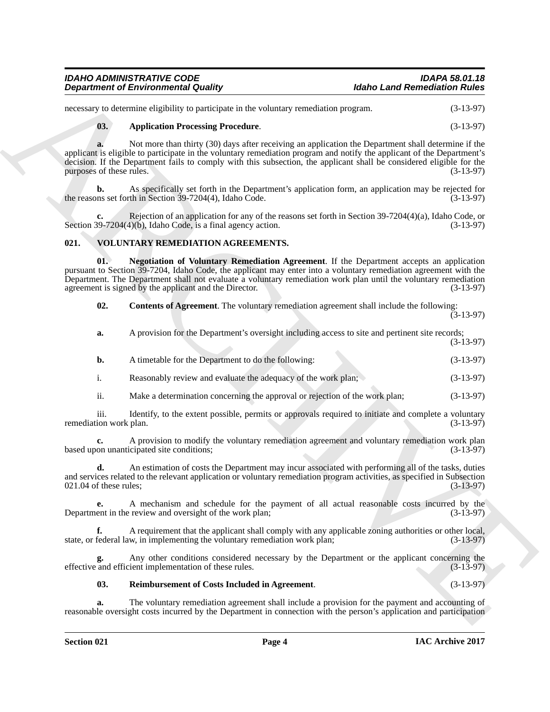| <b>IDAHO ADMINISTRATIVE CODE</b>           | <b>IDAPA 58.01.18</b>               |
|--------------------------------------------|-------------------------------------|
| <b>Department of Environmental Quality</b> | <b>Idaho Land Remediation Rules</b> |

#### <span id="page-3-1"></span>**03. Application Processing Procedure**. (3-13-97)

#### <span id="page-3-4"></span><span id="page-3-3"></span><span id="page-3-2"></span><span id="page-3-0"></span>**021. VOLUNTARY REMEDIATION AGREEMENTS.**

|                                | <b>Department of Environmental Quality</b>                                                                                                                                                                                                                                                                                                                                                | <b>Idaho Land Remediation Rules</b> |
|--------------------------------|-------------------------------------------------------------------------------------------------------------------------------------------------------------------------------------------------------------------------------------------------------------------------------------------------------------------------------------------------------------------------------------------|-------------------------------------|
|                                | necessary to determine eligibility to participate in the voluntary remediation program.                                                                                                                                                                                                                                                                                                   | $(3-13-97)$                         |
| 03.                            | <b>Application Processing Procedure.</b>                                                                                                                                                                                                                                                                                                                                                  | $(3-13-97)$                         |
| a.<br>purposes of these rules. | Not more than thirty (30) days after receiving an application the Department shall determine if the<br>applicant is eligible to participate in the voluntary remediation program and notify the applicant of the Department's<br>decision. If the Department fails to comply with this subsection, the applicant shall be considered eligible for the                                     | $(3-13-97)$                         |
| b.                             | As specifically set forth in the Department's application form, an application may be rejected for<br>the reasons set forth in Section 39-7204(4), Idaho Code.                                                                                                                                                                                                                            | $(3-13-97)$                         |
| c.                             | Rejection of an application for any of the reasons set forth in Section $39-7204(4)(a)$ , Idaho Code, or<br>Section $39-7204(4)(b)$ , Idaho Code, is a final agency action.                                                                                                                                                                                                               | $(3-13-97)$                         |
| 021.                           | VOLUNTARY REMEDIATION AGREEMENTS.                                                                                                                                                                                                                                                                                                                                                         |                                     |
| 01.                            | Negotiation of Voluntary Remediation Agreement. If the Department accepts an application<br>pursuant to Section 39-7204, Idaho Code, the applicant may enter into a voluntary remediation agreement with the<br>Department. The Department shall not evaluate a voluntary remediation work plan until the voluntary remediation<br>agreement is signed by the applicant and the Director. | $(3-13-97)$                         |
| 02.                            | <b>Contents of Agreement</b> . The voluntary remediation agreement shall include the following:                                                                                                                                                                                                                                                                                           | $(3-13-97)$                         |
| a.                             | A provision for the Department's oversight including access to site and pertinent site records;                                                                                                                                                                                                                                                                                           | $(3-13-97)$                         |
| b.                             | A timetable for the Department to do the following:                                                                                                                                                                                                                                                                                                                                       | $(3-13-97)$                         |
| $\mathbf{i}$ .                 | Reasonably review and evaluate the adequacy of the work plan;                                                                                                                                                                                                                                                                                                                             | $(3-13-97)$                         |
| ii.                            | Make a determination concerning the approval or rejection of the work plan;                                                                                                                                                                                                                                                                                                               | $(3-13-97)$                         |
| iii.<br>remediation work plan. | Identify, to the extent possible, permits or approvals required to initiate and complete a voluntary                                                                                                                                                                                                                                                                                      | $(3-13-97)$                         |
| c.                             | A provision to modify the voluntary remediation agreement and voluntary remediation work plan<br>based upon unanticipated site conditions;                                                                                                                                                                                                                                                | $(3-13-97)$                         |
| d.<br>021.04 of these rules;   | An estimation of costs the Department may incur associated with performing all of the tasks, duties<br>and services related to the relevant application or voluntary remediation program activities, as specified in Subsection                                                                                                                                                           | $(3-13-97)$                         |
| е.                             | A mechanism and schedule for the payment of all actual reasonable costs incurred by the<br>Department in the review and oversight of the work plan;                                                                                                                                                                                                                                       | $(3-13-97)$                         |
| f.                             | A requirement that the applicant shall comply with any applicable zoning authorities or other local,<br>state, or federal law, in implementing the voluntary remediation work plan;                                                                                                                                                                                                       | $(3-13-97)$                         |
| g.                             | Any other conditions considered necessary by the Department or the applicant concerning the<br>effective and efficient implementation of these rules.                                                                                                                                                                                                                                     | $(3-13-97)$                         |
| 03.                            | Reimbursement of Costs Included in Agreement.                                                                                                                                                                                                                                                                                                                                             | $(3-13-97)$                         |
|                                | The voluntary remediation agreement shall include a provision for the payment and accounting of                                                                                                                                                                                                                                                                                           |                                     |

#### <span id="page-3-5"></span>**03. Reimbursement of Costs Included in Agreement**. (3-13-97)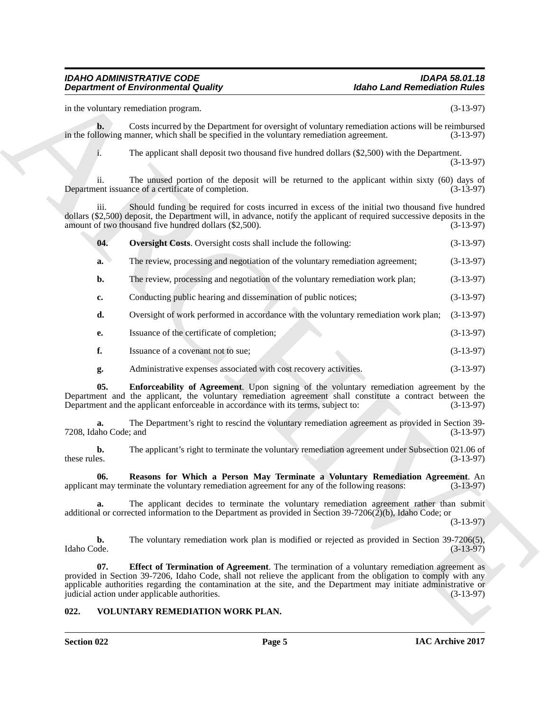|                             | <b>Department of Environmental Quality</b>                                                                                                                                                                                                                                                                                                                                                   | <b>Idaho Land Remediation Rules</b> |
|-----------------------------|----------------------------------------------------------------------------------------------------------------------------------------------------------------------------------------------------------------------------------------------------------------------------------------------------------------------------------------------------------------------------------------------|-------------------------------------|
|                             | in the voluntary remediation program.                                                                                                                                                                                                                                                                                                                                                        | $(3-13-97)$                         |
| $\mathbf{b}$ .              | Costs incurred by the Department for oversight of voluntary remediation actions will be reimbursed<br>in the following manner, which shall be specified in the voluntary remediation agreement.                                                                                                                                                                                              | $(3-13-97)$                         |
| 1.                          | The applicant shall deposit two thousand five hundred dollars (\$2,500) with the Department.                                                                                                                                                                                                                                                                                                 | $(3-13-97)$                         |
| 11.                         | The unused portion of the deposit will be returned to the applicant within sixty (60) days of<br>Department issuance of a certificate of completion.                                                                                                                                                                                                                                         | $(3-13-97)$                         |
| iii.                        | Should funding be required for costs incurred in excess of the initial two thousand five hundred<br>dollars (\$2,500) deposit, the Department will, in advance, notify the applicant of required successive deposits in the<br>amount of two thousand five hundred dollars (\$2,500).                                                                                                        | $(3-13-97)$                         |
| 04.                         | Oversight Costs. Oversight costs shall include the following:                                                                                                                                                                                                                                                                                                                                | $(3-13-97)$                         |
| a.                          | The review, processing and negotiation of the voluntary remediation agreement;                                                                                                                                                                                                                                                                                                               | $(3-13-97)$                         |
| b.                          | The review, processing and negotiation of the voluntary remediation work plan;                                                                                                                                                                                                                                                                                                               | $(3-13-97)$                         |
| c.                          | Conducting public hearing and dissemination of public notices;                                                                                                                                                                                                                                                                                                                               | $(3-13-97)$                         |
| d.                          | Oversight of work performed in accordance with the voluntary remediation work plan;                                                                                                                                                                                                                                                                                                          | $(3-13-97)$                         |
| е.                          | Issuance of the certificate of completion;                                                                                                                                                                                                                                                                                                                                                   | $(3-13-97)$                         |
| f.                          | Issuance of a covenant not to sue;                                                                                                                                                                                                                                                                                                                                                           | $(3-13-97)$                         |
| g.                          | Administrative expenses associated with cost recovery activities.                                                                                                                                                                                                                                                                                                                            | $(3-13-97)$                         |
| 05.                         | Enforceability of Agreement. Upon signing of the voluntary remediation agreement by the<br>Department and the applicant, the voluntary remediation agreement shall constitute a contract between the<br>Department and the applicant enforceable in accordance with its terms, subject to:                                                                                                   | $(3-13-97)$                         |
| a.<br>7208, Idaho Code; and | The Department's right to rescind the voluntary remediation agreement as provided in Section 39-                                                                                                                                                                                                                                                                                             | $(3-13-97)$                         |
| b.<br>these rules.          | The applicant's right to terminate the voluntary remediation agreement under Subsection 021.06 of                                                                                                                                                                                                                                                                                            | $(3-13-97)$                         |
| 06.                         | Reasons for Which a Person May Terminate a Voluntary Remediation Agreement. An<br>applicant may terminate the voluntary remediation agreement for any of the following reasons:                                                                                                                                                                                                              | $(3-13-97)$                         |
| a.                          | The applicant decides to terminate the voluntary remediation agreement rather than submit<br>additional or corrected information to the Department as provided in Section 39-7206( $2$ )(b), Idaho Code; or                                                                                                                                                                                  | $(3-13-97)$                         |
| b.<br>Idaho Code.           | The voluntary remediation work plan is modified or rejected as provided in Section 39-7206(5),                                                                                                                                                                                                                                                                                               | $(3-13-97)$                         |
| 07.                         | <b>Effect of Termination of Agreement</b> . The termination of a voluntary remediation agreement as<br>provided in Section 39-7206, Idaho Code, shall not relieve the applicant from the obligation to comply with any<br>applicable authorities regarding the contamination at the site, and the Department may initiate administrative or<br>judicial action under applicable authorities. | $(3-13-97)$                         |
| 022.                        | VOLUNTARY REMEDIATION WORK PLAN.                                                                                                                                                                                                                                                                                                                                                             |                                     |

- <span id="page-4-3"></span>**e.** Issuance of the certificate of completion; (3-13-97)
- **f.** Issuance of a covenant not to sue; (3-13-97)
- <span id="page-4-4"></span><span id="page-4-2"></span>**g.** Administrative expenses associated with cost recovery activities. (3-13-97)

#### <span id="page-4-5"></span><span id="page-4-1"></span><span id="page-4-0"></span>**022. VOLUNTARY REMEDIATION WORK PLAN.**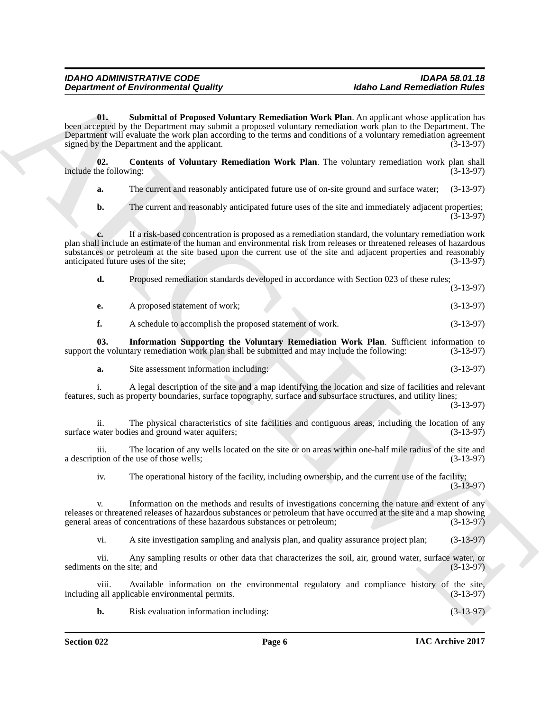**Experiment of Environmental Counting**<br> **Address Land Alternation Counting Reservoires**<br>
Note Land Alternation School and Technology Reservoires and the Unit Alternation School and Reservoires in<br>
Note and the Unit of Cou **01. Submittal of Proposed Voluntary Remediation Work Plan**. An applicant whose application has been accepted by the Department may submit a proposed voluntary remediation work plan to the Department. The Department will evaluate the work plan according to the terms and conditions of a voluntary remediation agreement signed by the Department and the applicant. (3-13-97)

<span id="page-5-2"></span>**02.** Contents of Voluntary Remediation Work Plan. The voluntary remediation work plan shall he following: (3-13-97) include the following:

<span id="page-5-0"></span>**a.** The current and reasonably anticipated future use of on-site ground and surface water; (3-13-97)

**b.** The current and reasonably anticipated future uses of the site and immediately adjacent properties;  $(3-13-97)$ 

**c.** If a risk-based concentration is proposed as a remediation standard, the voluntary remediation work plan shall include an estimate of the human and environmental risk from releases or threatened releases of hazardous substances or petroleum at the site based upon the current use of the site and adjacent properties and reasonably anticipated future uses of the site: (3-13-97) anticipated future uses of the site;

**d.** Proposed remediation standards developed in accordance with Section 023 of these rules; (3-13-97)

**e.** A proposed statement of work; (3-13-97)

<span id="page-5-1"></span>**f.** A schedule to accomplish the proposed statement of work. (3-13-97)

**03. Information Supporting the Voluntary Remediation Work Plan**. Sufficient information to the voluntary remediation work plan shall be submitted and may include the following: (3-13-97) support the voluntary remediation work plan shall be submitted and may include the following:

**a.** Site assessment information including: (3-13-97)

i. A legal description of the site and a map identifying the location and size of facilities and relevant features, such as property boundaries, surface topography, surface and subsurface structures, and utility lines;

(3-13-97)

ii. The physical characteristics of site facilities and contiguous areas, including the location of any vater bodies and ground water aquifers: (3-13-97) surface water bodies and ground water aquifers;

iii. The location of any wells located on the site or on areas within one-half mile radius of the site and tion of the use of those wells; (3-13-97) a description of the use of those wells;

iv. The operational history of the facility, including ownership, and the current use of the facility; (3-13-97)

v. Information on the methods and results of investigations concerning the nature and extent of any releases or threatened releases of hazardous substances or petroleum that have occurred at the site and a map showing general areas of concentrations of these hazardous substances or petroleum; (3-13-97)

vi. A site investigation sampling and analysis plan, and quality assurance project plan; (3-13-97)

vii. Any sampling results or other data that characterizes the soil, air, ground water, surface water, or sediments on the site; and (3-13-97)

viii. Available information on the environmental regulatory and compliance history of the site, (3-13-97) including all applicable environmental permits.

**b.** Risk evaluation information including: (3-13-97)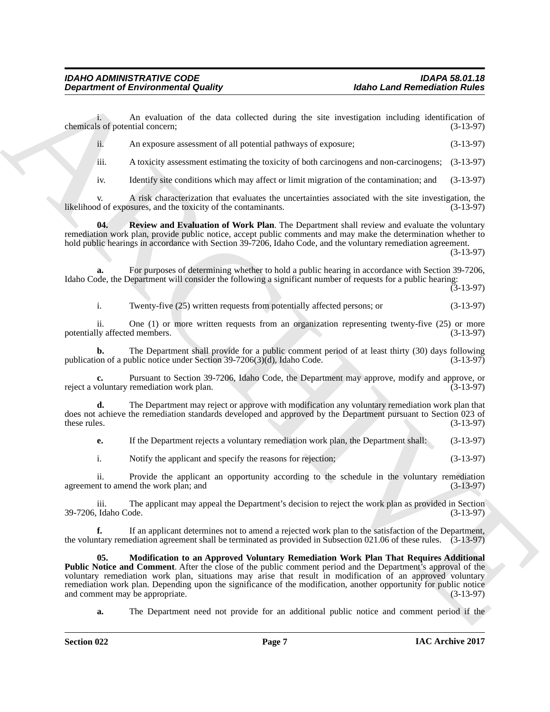i. An evaluation of the data collected during the site investigation including identification of s of potential concern; (3-13-97) chemicals of potential concern;

|  |  | An exposure assessment of all potential pathways of exposure; | $(3-13-97)$ |
|--|--|---------------------------------------------------------------|-------------|
|--|--|---------------------------------------------------------------|-------------|

iii. A toxicity assessment estimating the toxicity of both carcinogens and non-carcinogens; (3-13-97)

<span id="page-6-1"></span>iv. Identify site conditions which may affect or limit migration of the contamination; and (3-13-97)

v. A risk characterization that evaluates the uncertainties associated with the site investigation, the likelihood of exposures, and the toxicity of the contaminants.

**04. Review and Evaluation of Work Plan**. The Department shall review and evaluate the voluntary remediation work plan, provide public notice, accept public comments and may make the determination whether to hold public hearings in accordance with Section 39-7206, Idaho Code, and the voluntary remediation agreement.

(3-13-97)

**a.** For purposes of determining whether to hold a public hearing in accordance with Section 39-7206, Idaho Code, the Department will consider the following a significant number of requests for a public hearing:

(3-13-97)

i. Twenty-five (25) written requests from potentially affected persons; or (3-13-97)

ii. One (1) or more written requests from an organization representing twenty-five  $(25)$  or more ly affected members.  $(3-13-97)$ potentially affected members.

**b.** The Department shall provide for a public comment period of at least thirty (30) days following on of a public notice under Section 39-7206(3)(d), Idaho Code. (3-13-97) publication of a public notice under Section  $39-7206(3)(d)$ , Idaho Code.

**c.** Pursuant to Section 39-7206, Idaho Code, the Department may approve, modify and approve, or voluntary remediation work plan. (3-13-97) reject a voluntary remediation work plan.

**d.** The Department may reject or approve with modification any voluntary remediation work plan that does not achieve the remediation standards developed and approved by the Department pursuant to Section 023 of these rules. (3-13-97) these rules.  $(3-13-97)$ 

**e.** If the Department rejects a voluntary remediation work plan, the Department shall:  $(3-13-97)$ 

i. Notify the applicant and specify the reasons for rejection; (3-13-97)

ii. Provide the applicant an opportunity according to the schedule in the voluntary remediation agreement to amend the work plan; and (3-13-97)

iii. The applicant may appeal the Department's decision to reject the work plan as provided in Section 39-7206. Idaho Code.

<span id="page-6-0"></span>**f.** If an applicant determines not to amend a rejected work plan to the satisfaction of the Department, the voluntary remediation agreement shall be terminated as provided in Subsection 021.06 of these rules. (3-13-97)

**Department of Environmental Guality<br>
Alaho Land Remembers of the data volketed during the site site statistical relations in the expertise of the statistical relations of the statistical relations of the statistical rela 05. Modification to an Approved Voluntary Remediation Work Plan That Requires Additional Public Notice and Comment**. After the close of the public comment period and the Department's approval of the voluntary remediation work plan, situations may arise that result in modification of an approved voluntary remediation work plan. Depending upon the significance of the modification, another opportunity for public notice<br>and comment may be appropriate. (3-13-97) and comment may be appropriate.

**a.** The Department need not provide for an additional public notice and comment period if the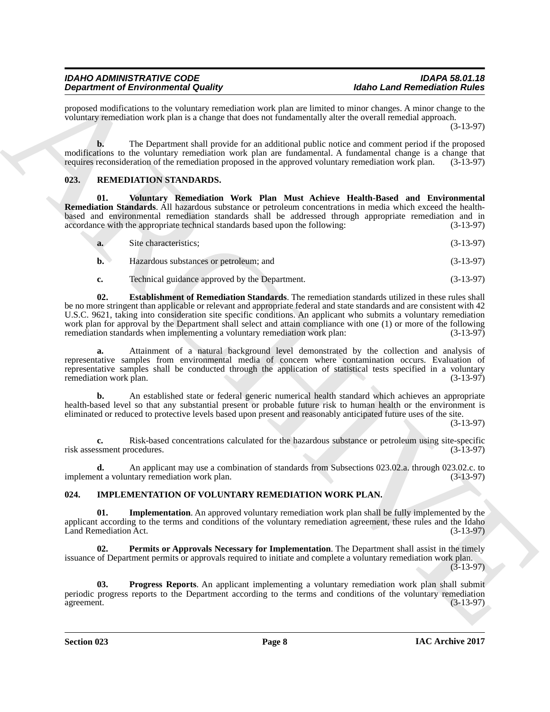proposed modifications to the voluntary remediation work plan are limited to minor changes. A minor change to the voluntary remediation work plan is a change that does not fundamentally alter the overall remedial approach.

(3-13-97)

**b.** The Department shall provide for an additional public notice and comment period if the proposed modifications to the voluntary remediation work plan are fundamental. A fundamental change is a change that requires reconsideration of the remediation proposed in the approved voluntary remediation work plan. (3-13-97) requires reconsideration of the remediation proposed in the approved voluntary remediation work plan.

#### <span id="page-7-6"></span><span id="page-7-0"></span>**023. REMEDIATION STANDARDS.**

**01. Voluntary Remediation Work Plan Must Achieve Health-Based and Environmental Remediation Standards**. All hazardous substance or petroleum concentrations in media which exceed the healthbased and environmental remediation standards shall be addressed through appropriate remediation and in accordance with the appropriate technical standards based upon the following: (3-13-97)

<span id="page-7-8"></span>

| $\mathbf{b}$ . | Hazardous substances or petroleum; and | $(3-13-97)$ |
|----------------|----------------------------------------|-------------|
|                |                                        |             |

<span id="page-7-7"></span>**c.** Technical guidance approved by the Department. (3-13-97)

Dependent of Environmental Condition candidate vertically as higher lands and Remember Richard Condition of the Condition of the Condition of the Condition of the Condition of the Condition of the Condition of the Conditi **02. Establishment of Remediation Standards**. The remediation standards utilized in these rules shall be no more stringent than applicable or relevant and appropriate federal and state standards and are consistent with 42 U.S.C. 9621, taking into consideration site specific conditions. An applicant who submits a voluntary remediation work plan for approval by the Department shall select and attain compliance with one (1) or more of the following<br>remediation standards when implementing a voluntary remediation work plan: (3-13-97) remediation standards when implementing a voluntary remediation work plan:

**a.** Attainment of a natural background level demonstrated by the collection and analysis of representative samples from environmental media of concern where contamination occurs. Evaluation of representative samples shall be conducted through the application of statistical tests specified in a voluntary remediation work plan. (3-13-97) remediation work plan.

**b.** An established state or federal generic numerical health standard which achieves an appropriate health-based level so that any substantial present or probable future risk to human health or the environment is eliminated or reduced to protective levels based upon present and reasonably anticipated future uses of the site.

(3-13-97)

**c.** Risk-based concentrations calculated for the hazardous substance or petroleum using site-specific risk assessment procedures. (3-13-97)

**d.** An applicant may use a combination of standards from Subsections 023.02.a. through 023.02.c. to nt a voluntary remediation work plan. (3-13-97) implement a voluntary remediation work plan.

### <span id="page-7-2"></span><span id="page-7-1"></span>**024. IMPLEMENTATION OF VOLUNTARY REMEDIATION WORK PLAN.**

<span id="page-7-3"></span>**Implementation**. An approved voluntary remediation work plan shall be fully implemented by the applicant according to the terms and conditions of the voluntary remediation agreement, these rules and the Idaho Land Remediation Act. (3-13-97)

<span id="page-7-4"></span>**02. Permits or Approvals Necessary for Implementation**. The Department shall assist in the timely issuance of Department permits or approvals required to initiate and complete a voluntary remediation work plan.

(3-13-97)

<span id="page-7-5"></span>**03. Progress Reports**. An applicant implementing a voluntary remediation work plan shall submit periodic progress reports to the Department according to the terms and conditions of the voluntary remediation agreement. (3-13-97) agreement. (3-13-97)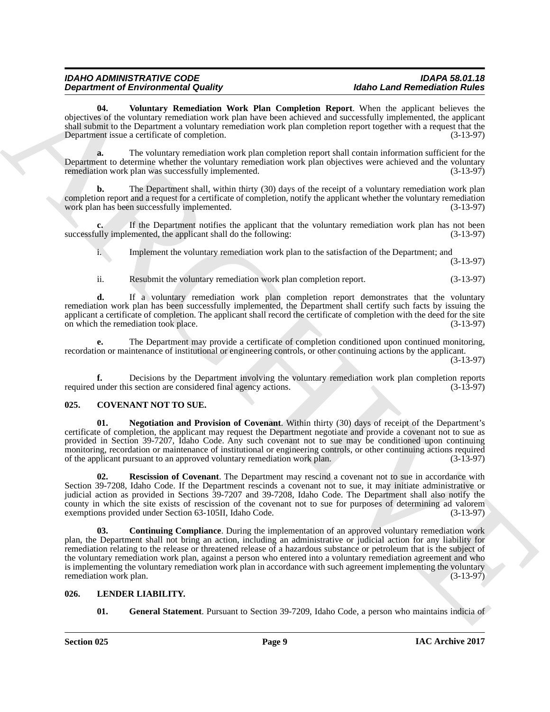<span id="page-8-6"></span>**04. Voluntary Remediation Work Plan Completion Report**. When the applicant believes the objectives of the voluntary remediation work plan have been achieved and successfully implemented, the applicant shall submit to the Department a voluntary remediation work plan completion report together with a request that the Department issue a certificate of completion. (3-13-97)

**a.** The voluntary remediation work plan completion report shall contain information sufficient for the Department to determine whether the voluntary remediation work plan objectives were achieved and the voluntary remediation work plan was successfully implemented. (3-13-97)

**b.** The Department shall, within thirty (30) days of the receipt of a voluntary remediation work plan completion report and a request for a certificate of completion, notify the applicant whether the voluntary remediation work plan has been successfully implemented. (3-13-97)

**c.** If the Department notifies the applicant that the voluntary remediation work plan has not been successfully implemented, the applicant shall do the following: (3-13-97)

i. Implement the voluntary remediation work plan to the satisfaction of the Department; and

(3-13-97)

ii. Resubmit the voluntary remediation work plan completion report. (3-13-97)

**d.** If a voluntary remediation work plan completion report demonstrates that the voluntary remediation work plan has been successfully implemented, the Department shall certify such facts by issuing the applicant a certificate of completion. The applicant shall record the certificate of completion with the deed for the site on which the remediation took place. (3-13-97)

**e.** The Department may provide a certificate of completion conditioned upon continued monitoring, recordation or maintenance of institutional or engineering controls, or other continuing actions by the applicant.

(3-13-97)

**f.** Decisions by the Department involving the voluntary remediation work plan completion reports under this section are considered final agency actions. (3-13-97) required under this section are considered final agency actions.

#### <span id="page-8-2"></span><span id="page-8-0"></span>**025. COVENANT NOT TO SUE.**

<span id="page-8-4"></span>**01. Negotiation and Provision of Covenant**. Within thirty (30) days of receipt of the Department's certificate of completion, the applicant may request the Department negotiate and provide a covenant not to sue as provided in Section 39-7207, Idaho Code. Any such covenant not to sue may be conditioned upon continuing monitoring, recordation or maintenance of institutional or engineering controls, or other continuing actions required<br>of the applicant pursuant to an approved voluntary remediation work plan. (3-13-97) of the applicant pursuant to an approved voluntary remediation work plan.

<span id="page-8-5"></span><span id="page-8-3"></span>**02. Rescission of Covenant**. The Department may rescind a covenant not to sue in accordance with Section 39-7208, Idaho Code. If the Department rescinds a covenant not to sue, it may initiate administrative or judicial action as provided in Sections 39-7207 and 39-7208, Idaho Code. The Department shall also notify the county in which the site exists of rescission of the covenant not to sue for purposes of determining ad valorem exemptions provided under Section 63-105II. Idaho Code. (3-13-97) exemptions provided under Section 63-105II, Idaho Code.

**Department of Entropology and Soliday** Plan Completion Report We allow class the controllering interest of the collective of the system of the system interest of the system of the system of the system of the system of th **Continuing Compliance**. During the implementation of an approved voluntary remediation work plan, the Department shall not bring an action, including an administrative or judicial action for any liability for remediation relating to the release or threatened release of a hazardous substance or petroleum that is the subject of the voluntary remediation work plan, against a person who entered into a voluntary remediation agreement and who is implementing the voluntary remediation work plan in accordance with such agreement implementing the voluntary remediation work plan. (3-13-97)

#### <span id="page-8-1"></span>**026. LENDER LIABILITY.**

<span id="page-8-8"></span><span id="page-8-7"></span>**01. General Statement**. Pursuant to Section 39-7209, Idaho Code, a person who maintains indicia of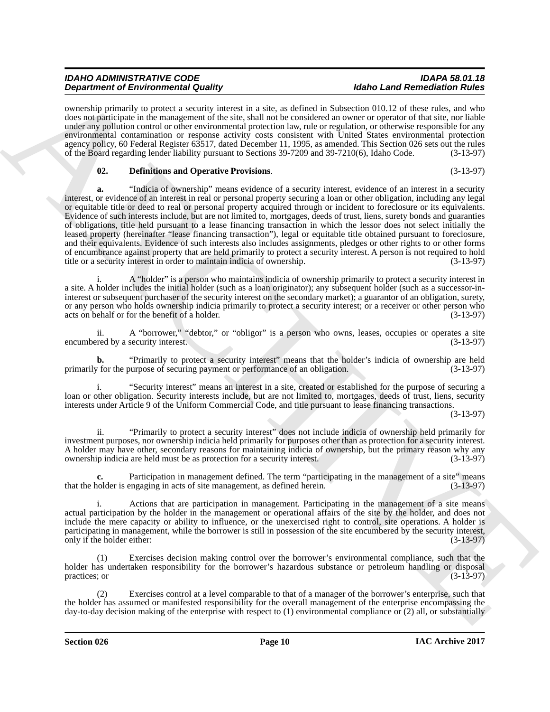ownership primarily to protect a security interest in a site, as defined in Subsection 010.12 of these rules, and who does not participate in the management of the site, shall not be considered an owner or operator of that site, nor liable under any pollution control or other environmental protection law, rule or regulation, or otherwise responsible for any environmental contamination or response activity costs consistent with United States environmental protection agency policy, 60 Federal Register 63517, dated December 11, 1995, as amended. This Section 026 sets out the rules of the Board regarding lender liability pursuant to Sections 39-7209 and 39-7210(6), Idaho Code. (3-13-97)

#### <span id="page-9-0"></span>**02. Definitions and Operative Provisions**. (3-13-97)

**Dependent of Entropological Studies** when the same to determine the same of Removement of Entropological Studies and the same of Entropological Studies and the same properties are a studies of the same properties of the **a.** "Indicia of ownership" means evidence of a security interest, evidence of an interest in a security interest, or evidence of an interest in real or personal property securing a loan or other obligation, including any legal or equitable title or deed to real or personal property acquired through or incident to foreclosure or its equivalents. Evidence of such interests include, but are not limited to, mortgages, deeds of trust, liens, surety bonds and guaranties of obligations, title held pursuant to a lease financing transaction in which the lessor does not select initially the leased property (hereinafter "lease financing transaction"), legal or equitable title obtained pursuant to foreclosure, and their equivalents. Evidence of such interests also includes assignments, pledges or other rights to or other forms of encumbrance against property that are held primarily to protect a security interest. A person is not required to hold<br>title or a security interest in order to maintain indicia of ownership. title or a security interest in order to maintain indicia of ownership.

A "holder" is a person who maintains indicia of ownership primarily to protect a security interest in a site. A holder includes the initial holder (such as a loan originator); any subsequent holder (such as a successor-ininterest or subsequent purchaser of the security interest on the secondary market); a guarantor of an obligation, surety, or any person who holds ownership indicia primarily to protect a security interest; or a receiver or other person who acts on behalf or for the benefit of a holder. (3-13-97)

ii. A "borrower," "debtor," or "obligor" is a person who owns, leases, occupies or operates a site<br>red by a security interest. (3-13-97) encumbered by a security interest.

**b.** "Primarily to protect a security interest" means that the holder's indicia of ownership are held  $\gamma$  for the purpose of securing payment or performance of an obligation. (3-13-97) primarily for the purpose of securing payment or performance of an obligation.

i. "Security interest" means an interest in a site, created or established for the purpose of securing a loan or other obligation. Security interests include, but are not limited to, mortgages, deeds of trust, liens, security interests under Article 9 of the Uniform Commercial Code, and title pursuant to lease financing transactions.

(3-13-97)

ii. "Primarily to protect a security interest" does not include indicia of ownership held primarily for investment purposes, nor ownership indicia held primarily for purposes other than as protection for a security interest. A holder may have other, secondary reasons for maintaining indicia of ownership, but the primary reason why any ownership indicia are held must be as protection for a security interest. (3-13-97) ownership indicia are held must be as protection for a security interest.

Participation in management defined. The term "participating in the management of a site" means that the holder is engaging in acts of site management, as defined herein. (3-13-97)

i. Actions that are participation in management. Participating in the management of a site means actual participation by the holder in the management or operational affairs of the site by the holder, and does not include the mere capacity or ability to influence, or the unexercised right to control, site operations. A holder is participating in management, while the borrower is still in possession of the site encumbered by the security interest, only if the holder either: (3-13-97)

(1) Exercises decision making control over the borrower's environmental compliance, such that the holder has undertaken responsibility for the borrower's hazardous substance or petroleum handling or disposal practices; or  $(3-13-97)$ 

(2) Exercises control at a level comparable to that of a manager of the borrower's enterprise, such that the holder has assumed or manifested responsibility for the overall management of the enterprise encompassing the day-to-day decision making of the enterprise with respect to (1) environmental compliance or (2) all, or substantially

**Section 026 Page 10**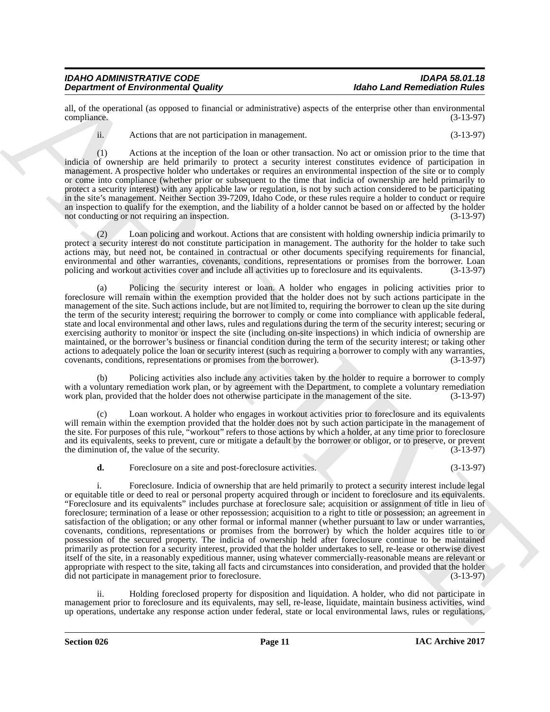all, of the operational (as opposed to financial or administrative) aspects of the enterprise other than environmental compliance. (3-13-97)

ii. Actions that are not participation in management. (3-13-97)

(1) Actions at the inception of the loan or other transaction. No act or omission prior to the time that indicia of ownership are held primarily to protect a security interest constitutes evidence of participation in management. A prospective holder who undertakes or requires an environmental inspection of the site or to comply or come into compliance (whether prior or subsequent to the time that indicia of ownership are held primarily to protect a security interest) with any applicable law or regulation, is not by such action considered to be participating in the site's management. Neither Section 39-7209, Idaho Code, or these rules require a holder to conduct or require an inspection to qualify for the exemption, and the liability of a holder cannot be based on or affected by the holder<br>not conducting or not requiring an inspection. (3-13-97) not conducting or not requiring an inspection.

(2) Loan policing and workout. Actions that are consistent with holding ownership indicia primarily to protect a security interest do not constitute participation in management. The authority for the holder to take such actions may, but need not, be contained in contractual or other documents specifying requirements for financial, environmental and other warranties, covenants, conditions, representations or promises from the borrower. Loan policing and workout activities cover and include all activities up to foreclosure and its equivalents. (3-13-9 policing and workout activities cover and include all activities up to foreclosure and its equivalents. (3-13-97)

(a) Policing the security interest or loan. A holder who engages in policing activities prior to foreclosure will remain within the exemption provided that the holder does not by such actions participate in the management of the site. Such actions include, but are not limited to, requiring the borrower to clean up the site during the term of the security interest; requiring the borrower to comply or come into compliance with applicable federal, state and local environmental and other laws, rules and regulations during the term of the security interest; securing or exercising authority to monitor or inspect the site (including on-site inspections) in which indicia of ownership are maintained, or the borrower's business or financial condition during the term of the security interest; or taking other actions to adequately police the loan or security interest (such as requiring a borrower to comply with any warranties, covenants, conditions, representations or promises from the borrower). (3-13-97)

(b) Policing activities also include any activities taken by the holder to require a borrower to comply with a voluntary remediation work plan, or by agreement with the Department, to complete a voluntary remediation work plan, provided that the holder does not otherwise participate in the management of the site.  $(3-13-97)$ 

(c) Loan workout. A holder who engages in workout activities prior to foreclosure and its equivalents will remain within the exemption provided that the holder does not by such action participate in the management of the site. For purposes of this rule, "workout" refers to those actions by which a holder, at any time prior to foreclosure and its equivalents, seeks to prevent, cure or mitigate a default by the borrower or obligor, or to preserve, or prevent the diminution of, the value of the security. (3-13-97)

**d.** Foreclosure on a site and post-foreclosure activities. (3-13-97)

**Experimented Christian Country of European II Country in the state of the computer of the state of the state of the state of the state of the state of the state of the state of the state of the state of the state of the** i. Foreclosure. Indicia of ownership that are held primarily to protect a security interest include legal or equitable title or deed to real or personal property acquired through or incident to foreclosure and its equivalents. "Foreclosure and its equivalents" includes purchase at foreclosure sale; acquisition or assignment of title in lieu of foreclosure; termination of a lease or other repossession; acquisition to a right to title or possession; an agreement in satisfaction of the obligation; or any other formal or informal manner (whether pursuant to law or under warranties, covenants, conditions, representations or promises from the borrower) by which the holder acquires title to or possession of the secured property. The indicia of ownership held after foreclosure continue to be maintained primarily as protection for a security interest, provided that the holder undertakes to sell, re-lease or otherwise divest itself of the site, in a reasonably expeditious manner, using whatever commercially-reasonable means are relevant or appropriate with respect to the site, taking all facts and circumstances into consideration, and provided that the holder did not participate in management prior to foreclosure. (3-13-97)

ii. Holding foreclosed property for disposition and liquidation. A holder, who did not participate in management prior to foreclosure and its equivalents, may sell, re-lease, liquidate, maintain business activities, wind up operations, undertake any response action under federal, state or local environmental laws, rules or regulations,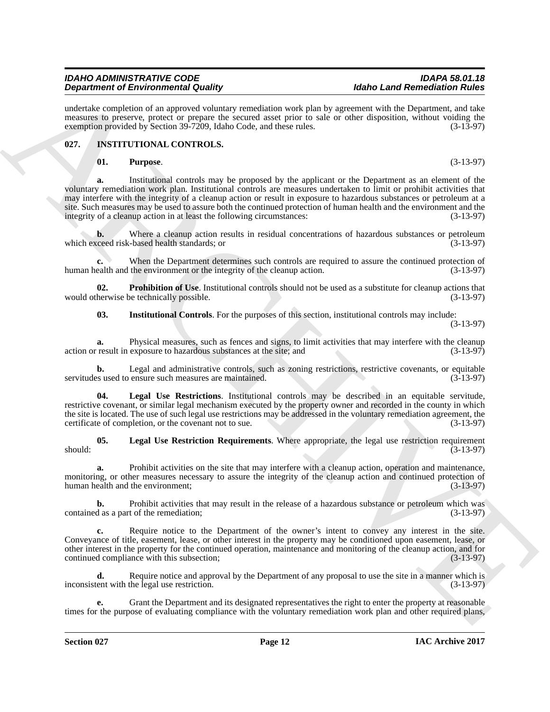undertake completion of an approved voluntary remediation work plan by agreement with the Department, and take measures to preserve, protect or prepare the secured asset prior to sale or other disposition, without voiding the exemption provided by Section 39-7209, Idaho Code, and these rules. (3-13-97) exemption provided by Section 39-7209, Idaho Code, and these rules.

#### <span id="page-11-0"></span>**027. INSTITUTIONAL CONTROLS.**

#### <span id="page-11-6"></span><span id="page-11-1"></span>**01. Purpose**. (3-13-97)

**Dependent of Environmental Courts)**<br> **Convenience Constrained Courts)**<br> **Constrained Constrained Constrained Constrained Constrained Constrained Constrained Constrained Constrained Constrained Constrained Constrained Con a.** Institutional controls may be proposed by the applicant or the Department as an element of the voluntary remediation work plan. Institutional controls are measures undertaken to limit or prohibit activities that may interfere with the integrity of a cleanup action or result in exposure to hazardous substances or petroleum at a site. Such measures may be used to assure both the continued protection of human health and the environment and the integrity of a cleanup action in at least the following circumstances: (3-13-97) integrity of a cleanup action in at least the following circumstances:

**b.** Where a cleanup action results in residual concentrations of hazardous substances or petroleum ceed risk-based health standards; or (3-13-97) which exceed risk-based health standards; or

**c.** When the Department determines such controls are required to assure the continued protection of human health and the environment or the integrity of the cleanup action. (3-13-97)

**02. Prohibition of Use**. Institutional controls should not be used as a substitute for cleanup actions that herwise be technically possible. (3-13-97) would otherwise be technically possible.

<span id="page-11-5"></span><span id="page-11-2"></span>**03. Institutional Controls**. For the purposes of this section, institutional controls may include:

(3-13-97)

**a.** Physical measures, such as fences and signs, to limit activities that may interfere with the cleanup result in exposure to hazardous substances at the site; and  $(3-13-97)$ action or result in exposure to hazardous substances at the site; and

**b.** Legal and administrative controls, such as zoning restrictions, restrictive covenants, or equitable ss used to ensure such measures are maintained. (3-13-97) servitudes used to ensure such measures are maintained.

<span id="page-11-4"></span>**04. Legal Use Restrictions**. Institutional controls may be described in an equitable servitude, restrictive covenant, or similar legal mechanism executed by the property owner and recorded in the county in which the site is located. The use of such legal use restrictions may be addressed in the voluntary remediation agreement, the certificate of completion, or the covenant not to sue. (3-13-97)

<span id="page-11-3"></span>**05. Legal Use Restriction Requirements**. Where appropriate, the legal use restriction requirement  $s_{\text{houd}}$ : (3-13-97)

**a.** Prohibit activities on the site that may interfere with a cleanup action, operation and maintenance, monitoring, or other measures necessary to assure the integrity of the cleanup action and continued protection of human health and the environment; (3-13-97)

**b.** Prohibit activities that may result in the release of a hazardous substance or petroleum which was d as a part of the remediation; (3-13-97) contained as a part of the remediation;

**c.** Require notice to the Department of the owner's intent to convey any interest in the site. Conveyance of title, easement, lease, or other interest in the property may be conditioned upon easement, lease, or other interest in the property for the continued operation, maintenance and monitoring of the cleanup action, and for continued compliance with this subsection;

**d.** Require notice and approval by the Department of any proposal to use the site in a manner which is inconsistent with the legal use restriction. (3-13-97)

**e.** Grant the Department and its designated representatives the right to enter the property at reasonable times for the purpose of evaluating compliance with the voluntary remediation work plan and other required plans,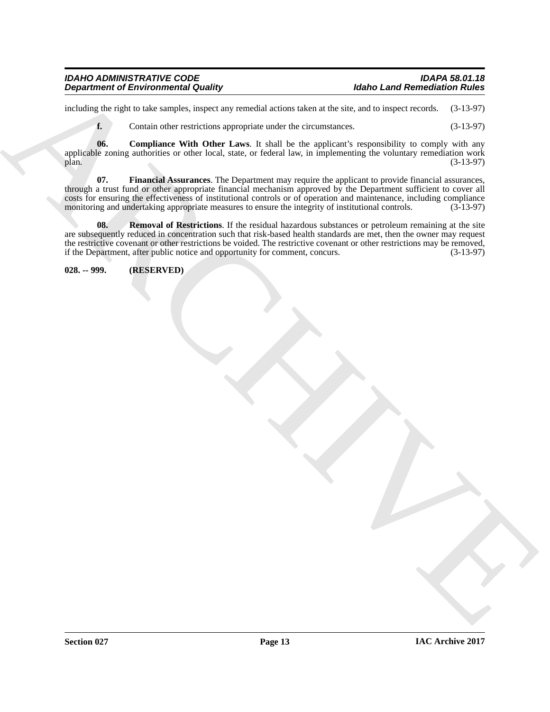| <b>IDAHO ADMINISTRATIVE CODE</b>           |  |
|--------------------------------------------|--|
| <b>Department of Environmental Quality</b> |  |

including the right to take samples, inspect any remedial actions taken at the site, and to inspect records. (3-13-97)

<span id="page-12-2"></span><span id="page-12-1"></span>**f.** Contain other restrictions appropriate under the circumstances. (3-13-97)

**06. Compliance With Other Laws**. It shall be the applicant's responsibility to comply with any applicable zoning authorities or other local, state, or federal law, in implementing the voluntary remediation work<br>(3-13-97) plan.  $(3-13-97)$ 

Beginstries of Environmental Guatity<br>
Individual case of Revision is conclusions that all simulated in the system and case of Revision is a strong of Revision in the system of  $\mathbf{t}_i$ . (1945)<br>
which the complete service **07. Financial Assurances**. The Department may require the applicant to provide financial assurances, through a trust fund or other appropriate financial mechanism approved by the Department sufficient to cover all costs for ensuring the effectiveness of institutional controls or of operation and maintenance, including compliance<br>monitoring and undertaking appropriate measures to ensure the integrity of institutional controls. (3-13monitoring and undertaking appropriate measures to ensure the integrity of institutional controls.

<span id="page-12-3"></span>**08.** Removal of Restrictions. If the residual hazardous substances or petroleum remaining at the site are subsequently reduced in concentration such that risk-based health standards are met, then the owner may request the restrictive covenant or other restrictions be voided. The restrictive covenant or other restrictions may be removed, if the Department, after public notice and opportunity for comment, concurs. (3-13-97) if the Department, after public notice and opportunity for comment, concurs.

<span id="page-12-0"></span>**028. -- 999. (RESERVED)**